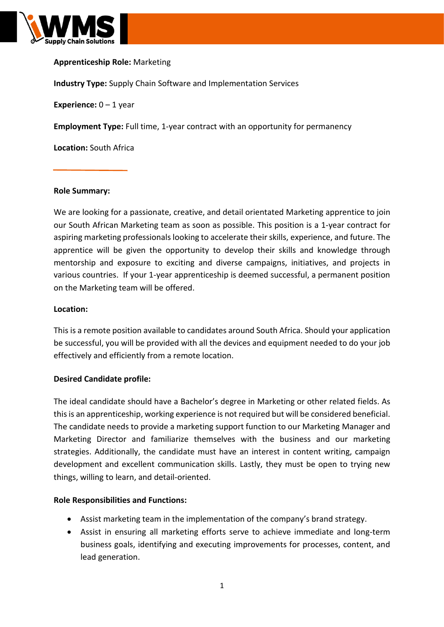

# **Apprenticeship Role:** Marketing

**Industry Type:** Supply Chain Software and Implementation Services

**Experience:**  $0 - 1$  year

**Employment Type:** Full time, 1-year contract with an opportunity for permanency

**Location:** South Africa

#### **Role Summary:**

We are looking for a passionate, creative, and detail orientated Marketing apprentice to join our South African Marketing team as soon as possible. This position is a 1-year contract for aspiring marketing professionals looking to accelerate their skills, experience, and future. The apprentice will be given the opportunity to develop their skills and knowledge through mentorship and exposure to exciting and diverse campaigns, initiatives, and projects in various countries. If your 1-year apprenticeship is deemed successful, a permanent position on the Marketing team will be offered.

#### **Location:**

This is a remote position available to candidates around South Africa. Should your application be successful, you will be provided with all the devices and equipment needed to do your job effectively and efficiently from a remote location.

### **Desired Candidate profile:**

The ideal candidate should have a Bachelor's degree in Marketing or other related fields. As this is an apprenticeship, working experience is not required but will be considered beneficial. The candidate needs to provide a marketing support function to our Marketing Manager and Marketing Director and familiarize themselves with the business and our marketing strategies. Additionally, the candidate must have an interest in content writing, campaign development and excellent communication skills. Lastly, they must be open to trying new things, willing to learn, and detail-oriented.

### **Role Responsibilities and Functions:**

- Assist marketing team in the implementation of the company's brand strategy.
- Assist in ensuring all marketing efforts serve to achieve immediate and long-term business goals, identifying and executing improvements for processes, content, and lead generation.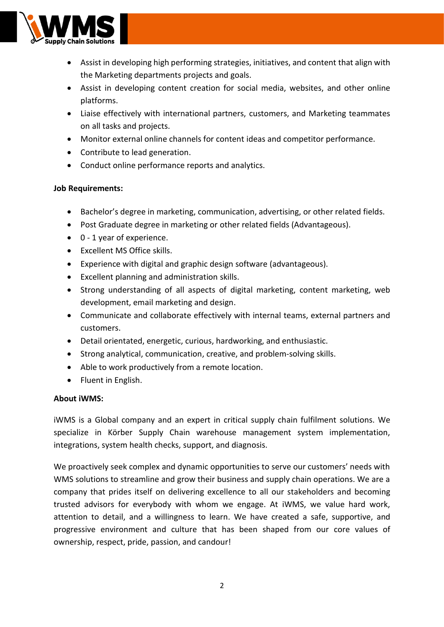

- Assist in developing high performing strategies, initiatives, and content that align with the Marketing departments projects and goals.
- Assist in developing content creation for social media, websites, and other online platforms.
- Liaise effectively with international partners, customers, and Marketing teammates on all tasks and projects.
- Monitor external online channels for content ideas and competitor performance.
- Contribute to lead generation.
- Conduct online performance reports and analytics.

# **Job Requirements:**

- Bachelor's degree in marketing, communication, advertising, or other related fields.
- Post Graduate degree in marketing or other related fields (Advantageous).
- 0 1 year of experience.
- Excellent MS Office skills.
- Experience with digital and graphic design software (advantageous).
- Excellent planning and administration skills.
- Strong understanding of all aspects of digital marketing, content marketing, web development, email marketing and design.
- Communicate and collaborate effectively with internal teams, external partners and customers.
- Detail orientated, energetic, curious, hardworking, and enthusiastic.
- Strong analytical, communication, creative, and problem-solving skills.
- Able to work productively from a remote location.
- Fluent in English.

# **About iWMS:**

iWMS is a Global company and an expert in critical supply chain fulfilment solutions. We specialize in Körber Supply Chain warehouse management system implementation, integrations, system health checks, support, and diagnosis.

We proactively seek complex and dynamic opportunities to serve our customers' needs with WMS solutions to streamline and grow their business and supply chain operations. We are a company that prides itself on delivering excellence to all our stakeholders and becoming trusted advisors for everybody with whom we engage. At iWMS, we value hard work, attention to detail, and a willingness to learn. We have created a safe, supportive, and progressive environment and culture that has been shaped from our core values of ownership, respect, pride, passion, and candour!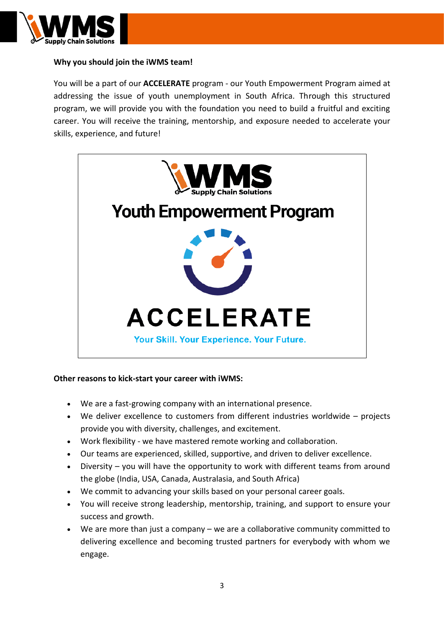

# **Why you should join the iWMS team!**

You will be a part of our **ACCELERATE** program - our Youth Empowerment Program aimed at addressing the issue of youth unemployment in South Africa. Through this structured program, we will provide you with the foundation you need to build a fruitful and exciting career. You will receive the training, mentorship, and exposure needed to accelerate your skills, experience, and future!



### **Other reasons to kick-start your career with iWMS:**

- We are a fast-growing company with an international presence.
- We deliver excellence to customers from different industries worldwide projects provide you with diversity, challenges, and excitement.
- Work flexibility we have mastered remote working and collaboration.
- Our teams are experienced, skilled, supportive, and driven to deliver excellence.
- Diversity you will have the opportunity to work with different teams from around the globe (India, USA, Canada, Australasia, and South Africa)
- We commit to advancing your skills based on your personal career goals.
- You will receive strong leadership, mentorship, training, and support to ensure your success and growth.
- We are more than just a company  $-$  we are a collaborative community committed to delivering excellence and becoming trusted partners for everybody with whom we engage.